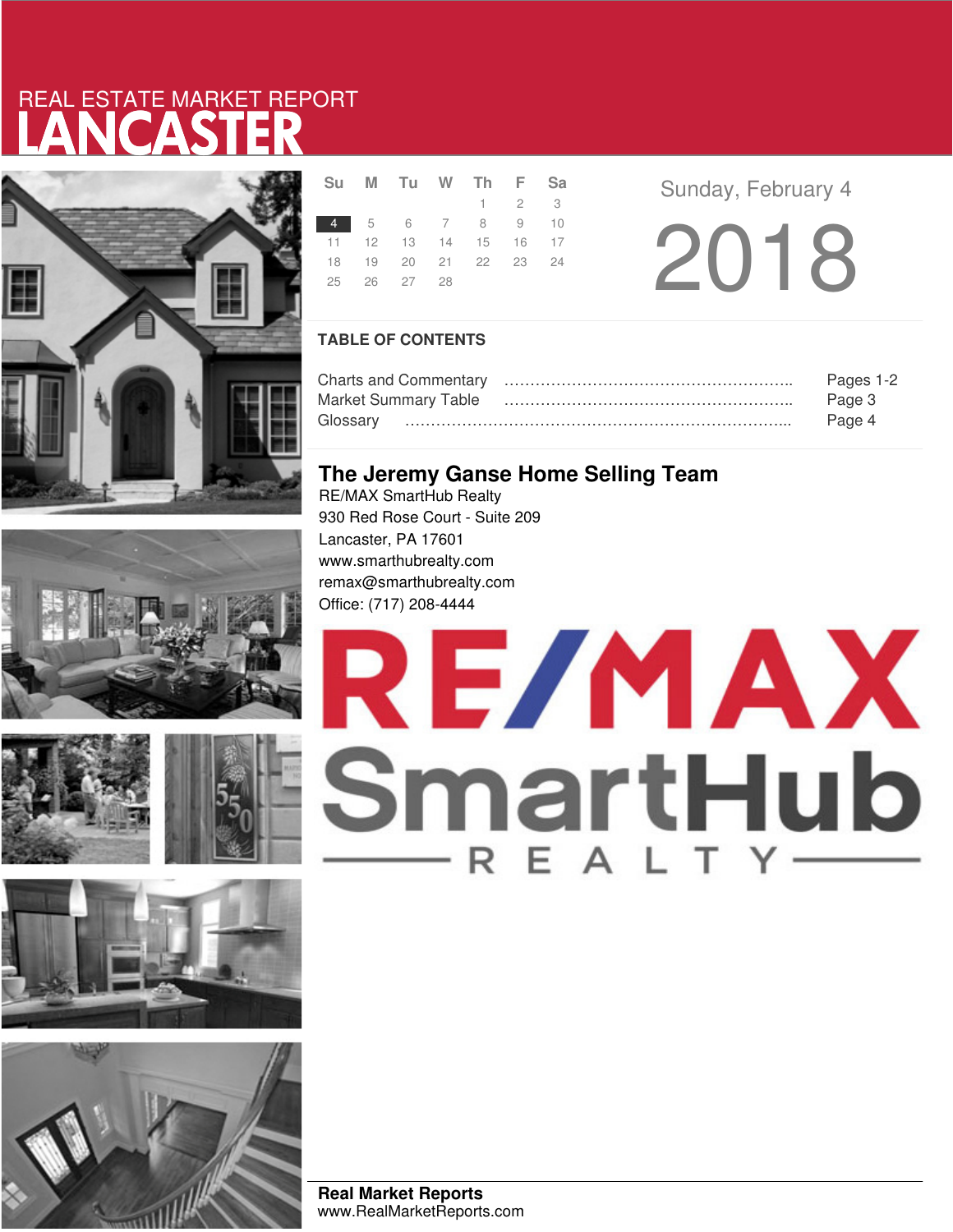# LANCASTER REAL ESTATE MARKET REPORT











|  | 25 26 27 28 | Su M Tu W Th F Sa<br>$1 \t2 \t3$<br>4 5 6 7 8 9 10<br>11 12 13 14 15 16 17<br>18  19  20  21  22  23  24 |
|--|-------------|----------------------------------------------------------------------------------------------------------|

**Sunday, February 4** 

2018

### **TABLE OF CONTENTS**

|                      | Pages 1-2 |
|----------------------|-----------|
| Market Summary Table | Page 3    |
|                      | Page 4    |

## **The Jeremy Ganse Home Selling Team**

RE/MAX SmartHub Realty 930 Red Rose Court - Suite 209 Lancaster, PA 17601 www.smarthubrealty.com remax@smarthubrealty.com Office: (717) 208-4444



**Real Market Reports** www.RealMarketReports.com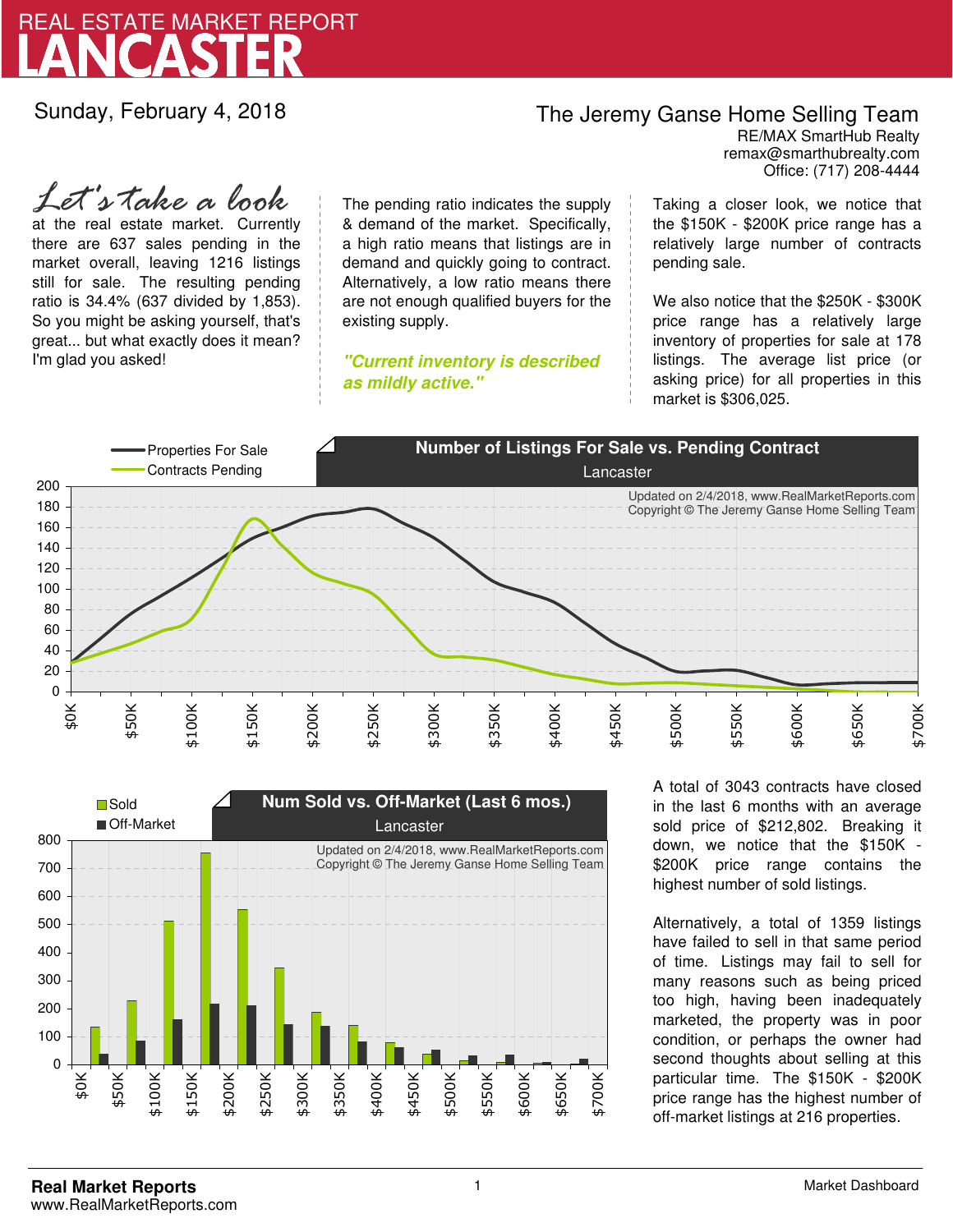

Sunday, February 4, 2018

## The Jeremy Ganse Home Selling Team

remax@smarthubrealty.com RE/MAX SmartHub Realty Office: (717) 208-4444

at the real estate market. Currently there are 637 sales pending in the market overall, leaving 1216 listings still for sale. The resulting pending ratio is 34.4% (637 divided by 1,853). So you might be asking yourself, that's great... but what exactly does it mean? I'm glad you asked! *Let's take a look*

The pending ratio indicates the supply & demand of the market. Specifically, a high ratio means that listings are in demand and quickly going to contract. Alternatively, a low ratio means there are not enough qualified buyers for the existing supply.

**"Current inventory is described as mildly active."**

Taking a closer look, we notice that the \$150K - \$200K price range has a relatively large number of contracts pending sale.

We also notice that the \$250K - \$300K price range has a relatively large inventory of properties for sale at 178 listings. The average list price (or asking price) for all properties in this market is \$306,025.





A total of 3043 contracts have closed in the last 6 months with an average sold price of \$212,802. Breaking it down, we notice that the \$150K - \$200K price range contains the highest number of sold listings.

Alternatively, a total of 1359 listings have failed to sell in that same period of time. Listings may fail to sell for many reasons such as being priced too high, having been inadequately marketed, the property was in poor condition, or perhaps the owner had second thoughts about selling at this particular time. The \$150K - \$200K price range has the highest number of off-market listings at 216 properties.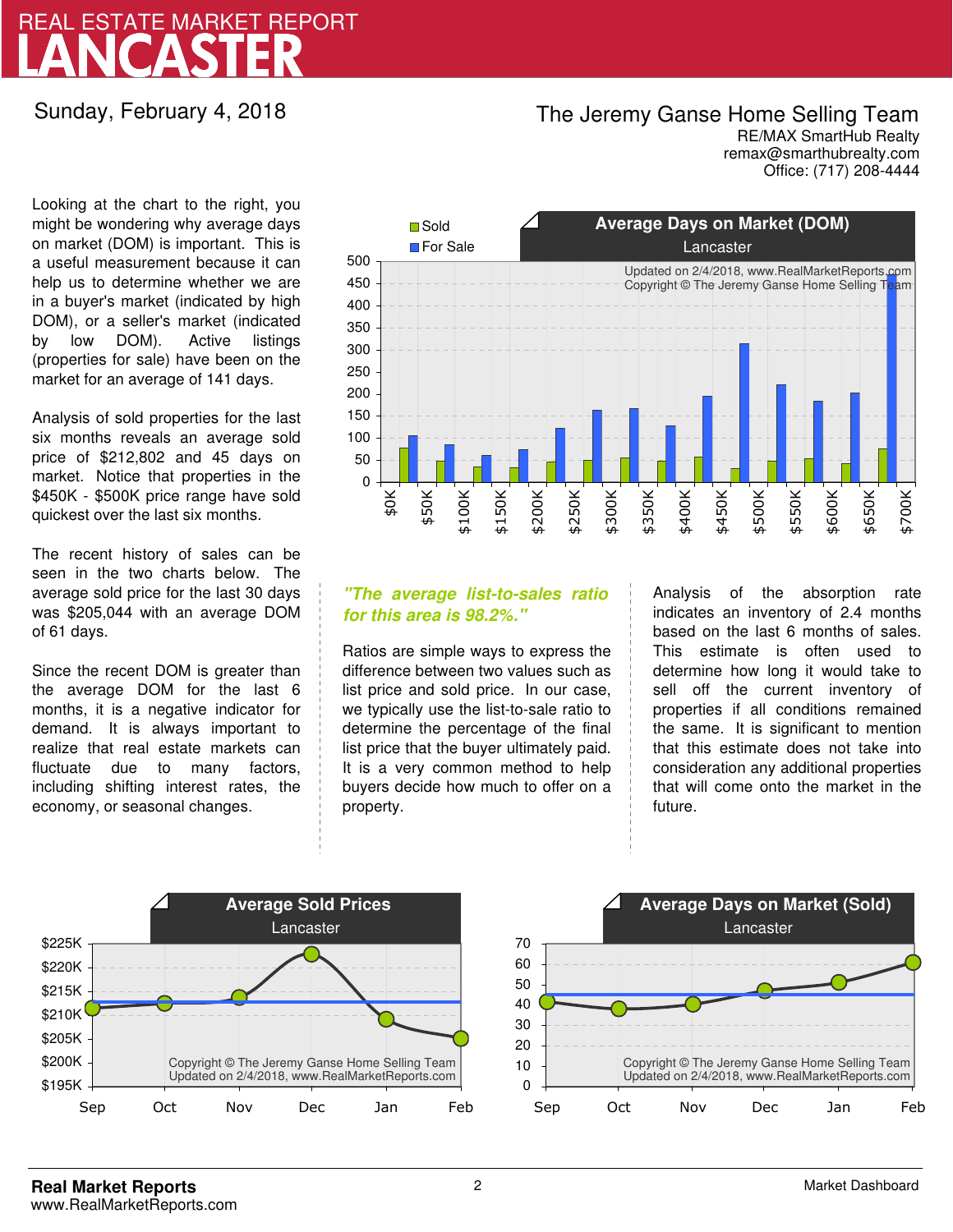# LANCASTER REAL ESTATE MARKET REPORT

### Sunday, February 4, 2018

## The Jeremy Ganse Home Selling Team

remax@smarthubrealty.com RE/MAX SmartHub Realty Office: (717) 208-4444

Looking at the chart to the right, you might be wondering why average days on market (DOM) is important. This is a useful measurement because it can help us to determine whether we are in a buyer's market (indicated by high DOM), or a seller's market (indicated by low DOM). Active listings (properties for sale) have been on the market for an average of 141 days.

Analysis of sold properties for the last six months reveals an average sold price of \$212,802 and 45 days on market. Notice that properties in the \$450K - \$500K price range have sold quickest over the last six months.

The recent history of sales can be seen in the two charts below. The average sold price for the last 30 days was \$205,044 with an average DOM of 61 days.

Since the recent DOM is greater than the average DOM for the last 6 months, it is a negative indicator for demand. It is always important to realize that real estate markets can fluctuate due to many factors, including shifting interest rates, the economy, or seasonal changes.



### **"The average list-to-sales ratio for this area is 98.2%."**

Ratios are simple ways to express the difference between two values such as list price and sold price. In our case, we typically use the list-to-sale ratio to determine the percentage of the final list price that the buyer ultimately paid. It is a very common method to help buyers decide how much to offer on a property.

Analysis of the absorption rate indicates an inventory of 2.4 months based on the last 6 months of sales. This estimate is often used to determine how long it would take to sell off the current inventory of properties if all conditions remained the same. It is significant to mention that this estimate does not take into consideration any additional properties that will come onto the market in the future.



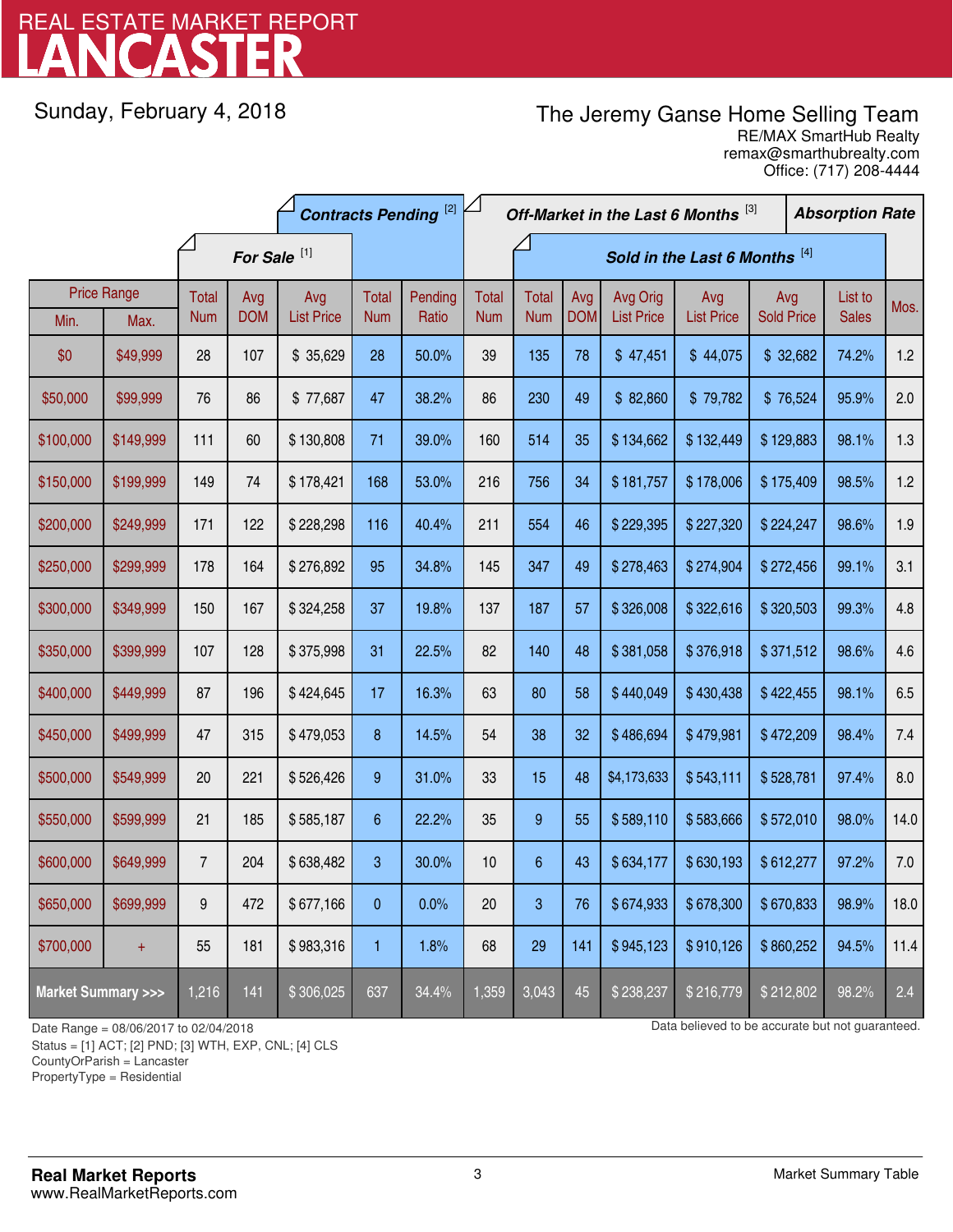# LANCASTER REAL ESTATE MARKET REPORT

Sunday, February 4, 2018

# The Jeremy Ganse Home Selling Team

remax@smarthubrealty.com RE/MAX SmartHub Realty Office: (717) 208-4444

|                                    |           | <b>Contracts Pending [2]</b> |            |                   |            |         | Off-Market in the Last 6 Months [3] |                  |            |                               |                   | <b>Absorption Rate</b> |  |              |      |
|------------------------------------|-----------|------------------------------|------------|-------------------|------------|---------|-------------------------------------|------------------|------------|-------------------------------|-------------------|------------------------|--|--------------|------|
| For Sale <sup>[1]</sup>            |           |                              |            |                   |            |         |                                     |                  |            | Sold in the Last 6 Months [4] |                   |                        |  |              |      |
| <b>Price Range</b>                 |           | Total                        | Avg        | Avg               | Total      | Pending | Total                               | <b>Total</b>     | Avg        | Avg Orig                      | Avg               | Avg                    |  | List to      | Mos. |
| Min.                               | Max.      | <b>Num</b>                   | <b>DOM</b> | <b>List Price</b> | <b>Num</b> | Ratio   | <b>Num</b>                          | <b>Num</b>       | <b>DOM</b> | <b>List Price</b>             | <b>List Price</b> | <b>Sold Price</b>      |  | <b>Sales</b> |      |
| \$0                                | \$49,999  | 28                           | 107        | \$35,629          | 28         | 50.0%   | 39                                  | 135              | 78         | \$47,451                      | \$44,075          | \$32,682               |  | 74.2%        | 1.2  |
| \$50,000                           | \$99,999  | 76                           | 86         | \$77,687          | 47         | 38.2%   | 86                                  | 230              | 49         | \$82,860                      | \$79,782          | \$76,524               |  | 95.9%        | 2.0  |
| \$100,000                          | \$149,999 | 111                          | 60         | \$130,808         | 71         | 39.0%   | 160                                 | 514              | 35         | \$134,662                     | \$132,449         | \$129,883              |  | 98.1%        | 1.3  |
| \$150,000                          | \$199,999 | 149                          | 74         | \$178,421         | 168        | 53.0%   | 216                                 | 756              | 34         | \$181,757                     | \$178,006         | \$175,409              |  | 98.5%        | 1.2  |
| \$200,000                          | \$249,999 | 171                          | 122        | \$228,298         | 116        | 40.4%   | 211                                 | 554              | 46         | \$229,395                     | \$227,320         | \$224,247              |  | 98.6%        | 1.9  |
| \$250,000                          | \$299,999 | 178                          | 164        | \$276,892         | 95         | 34.8%   | 145                                 | 347              | 49         | \$278,463                     | \$274,904         | \$272,456              |  | 99.1%        | 3.1  |
| \$300,000                          | \$349,999 | 150                          | 167        | \$324,258         | 37         | 19.8%   | 137                                 | 187              | 57         | \$326,008                     | \$322,616         | \$320,503              |  | 99.3%        | 4.8  |
| \$350,000                          | \$399,999 | 107                          | 128        | \$375,998         | 31         | 22.5%   | 82                                  | 140              | 48         | \$381,058                     | \$376,918         | \$371,512              |  | 98.6%        | 4.6  |
| \$400,000                          | \$449,999 | 87                           | 196        | \$424,645         | 17         | 16.3%   | 63                                  | 80               | 58         | \$440,049                     | \$430,438         | \$422,455              |  | 98.1%        | 6.5  |
| \$450,000                          | \$499,999 | 47                           | 315        | \$479,053         | 8          | 14.5%   | 54                                  | 38               | 32         | \$486,694                     | \$479,981         | \$472,209              |  | 98.4%        | 7.4  |
| \$500,000                          | \$549,999 | 20                           | 221        | \$526,426         | 9          | 31.0%   | 33                                  | 15               | 48         | \$4,173,633                   | \$543,111         | \$528,781              |  | 97.4%        | 8.0  |
| \$550,000                          | \$599,999 | 21                           | 185        | \$585,187         | 6          | 22.2%   | 35                                  | $\boldsymbol{9}$ | 55         | \$589,110                     | \$583,666         | \$572,010              |  | 98.0%        | 14.0 |
| \$600,000                          | \$649,999 | $\overline{7}$               | 204        | \$638,482         | 3          | 30.0%   | 10                                  | $\boldsymbol{6}$ | 43         | \$634,177                     | \$630,193         | \$612,277              |  | 97.2%        | 7.0  |
| \$650,000                          | \$699,999 | 9                            | 472        | \$677,166         | 0          | 0.0%    | 20                                  | 3                | 76         | \$674,933                     | \$678,300         | \$670,833              |  | 98.9%        | 18.0 |
| \$700,000                          | $+$       | 55                           | 181        | \$983,316         | 1          | 1.8%    | 68                                  | 29               | 141        | \$945,123                     | \$910,126         | \$860,252              |  | 94.5%        | 11.4 |
| <b>Market Summary &gt;&gt;&gt;</b> |           | 1,216                        | 141        | \$306,025         | 637        | 34.4%   | 1,359                               | 3,043            | 45         | \$238,237                     | \$216,779         | \$212,802              |  | 98.2%        | 2.4  |

Status = [1] ACT; [2] PND; [3] WTH, EXP, CNL; [4] CLS

CountyOrParish = Lancaster

PropertyType = Residential

-

Date Range = 08/06/2017 to 02/04/2018 Date Range = 08/06/2017 to 02/04/2018